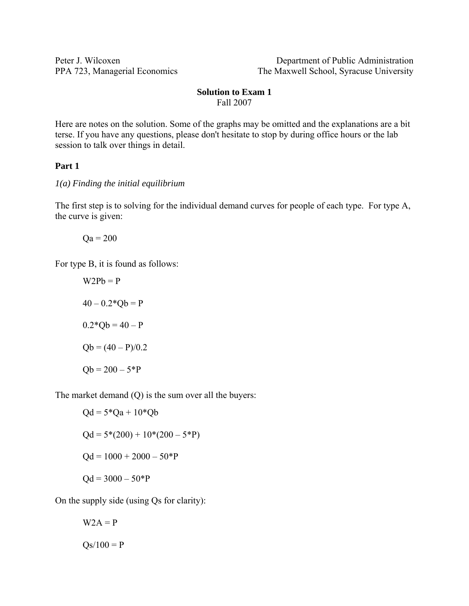Peter J. Wilcoxen Department of Public Administration PPA 723, Managerial Economics The Maxwell School, Syracuse University

#### **Solution to Exam 1**  Fall 2007

Here are notes on the solution. Some of the graphs may be omitted and the explanations are a bit terse. If you have any questions, please don't hesitate to stop by during office hours or the lab session to talk over things in detail.

# **Part 1**

*1(a) Finding the initial equilibrium* 

The first step is to solving for the individual demand curves for people of each type. For type A, the curve is given:

 $\text{Oa} = 200$ 

For type B, it is found as follows:

 $W2Pb = P$  $40 - 0.2 \cdot 10 = P$  $0.2*Ob = 40 - P$  $Qb = (40 - P)/0.2$  $Qb = 200 - 5*P$ 

The market demand (Q) is the sum over all the buyers:

$$
Qd = 5 \cdot 20a + 10 \cdot 20b
$$
  
 
$$
Qd = 5 \cdot 200 + 10 \cdot 200 - 5 \cdot 20b
$$
  
 
$$
Qd = 1000 + 2000 - 50 \cdot 20b
$$
  
 
$$
Qd = 3000 - 50 \cdot 20b
$$

On the supply side (using Qs for clarity):

$$
W2A = P
$$

$$
Qs/100 = P
$$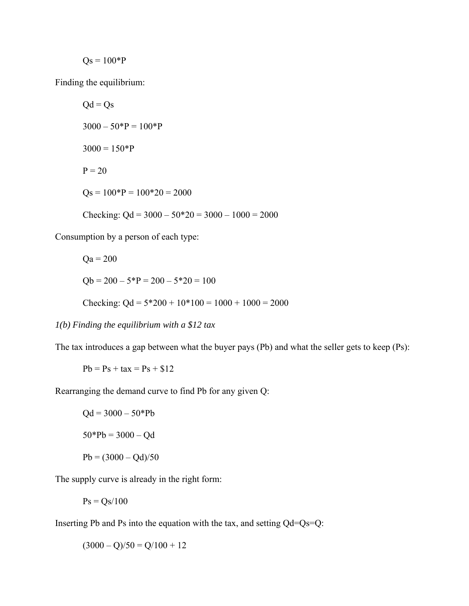$$
Qs = 100*P
$$

Finding the equilibrium:

 $Qd = Qs$  $3000 - 50^*P = 100^*P$  $3000 = 150*P$  $P = 20$  $Qs = 100*P = 100*20 = 2000$ Checking:  $Qd = 3000 - 50*20 = 3000 - 1000 = 2000$ 

Consumption by a person of each type:

$$
Qa = 200
$$
  
Qb = 200 - 5\*P = 200 - 5\*20 = 100  
Checking: Qd = 5\*200 + 10\*100 = 1000 + 1000 = 2000

*1(b) Finding the equilibrium with a \$12 tax* 

The tax introduces a gap between what the buyer pays (Pb) and what the seller gets to keep (Ps):

$$
Pb = Ps + tax = Ps + $12
$$

Rearranging the demand curve to find Pb for any given Q:

 $Qd = 3000 - 50*Pb$  $50*Pb = 3000 - Qd$  $Pb = (3000 - Qd)/50$ 

The supply curve is already in the right form:

$$
Ps = Qs/100
$$

Inserting Pb and Ps into the equation with the tax, and setting Qd=Qs=Q:

 $(3000 - Q)/50 = Q/100 + 12$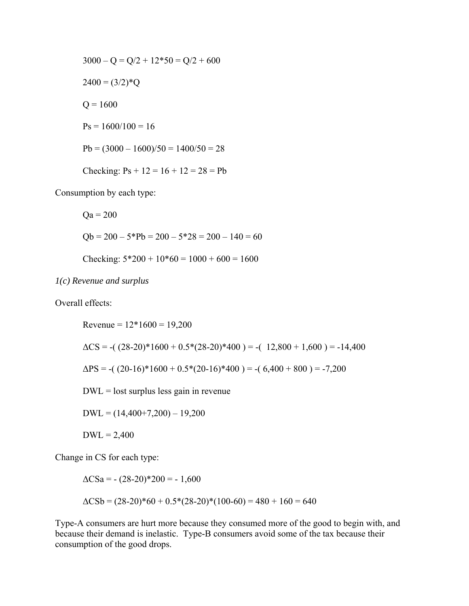$$
3000 - Q = Q/2 + 12*50 = Q/2 + 600
$$
  

$$
2400 = (3/2)*Q
$$
  

$$
Q = 1600
$$
  

$$
Ps = 1600/100 = 16
$$
  

$$
Pb = (3000 - 1600)/50 = 1400/50 = 28
$$
  
Checking: 
$$
Ps + 12 = 16 + 12 = 28 = Pb
$$

Consumption by each type:

 $Qa = 200$  $Qb = 200 - 5*Pb = 200 - 5*28 = 200 - 140 = 60$ Checking:  $5*200 + 10*60 = 1000 + 600 = 1600$ 

*1(c) Revenue and surplus* 

Overall effects:

Revenue =  $12*1600 = 19,200$  $\Delta CS = -($   $(28-20)*1600 + 0.5*(28-20)*400$   $) = -($   $12,800 + 1,600$   $) = -14,400$  $\Delta PS = -(20-16)*1600 + 0.5*(20-16)*400 = -(6,400 + 800) = -7,200$  $DWL =$  lost surplus less gain in revenue  $DWL = (14,400+7,200) - 19,200$  $DWL = 2,400$ 

Change in CS for each type:

 $\Delta$ CSa = - (28-20)\*200 = - 1,600  $\Delta$ CSb = (28-20)\*60 + 0.5\*(28-20)\*(100-60) = 480 + 160 = 640

Type-A consumers are hurt more because they consumed more of the good to begin with, and because their demand is inelastic. Type-B consumers avoid some of the tax because their consumption of the good drops.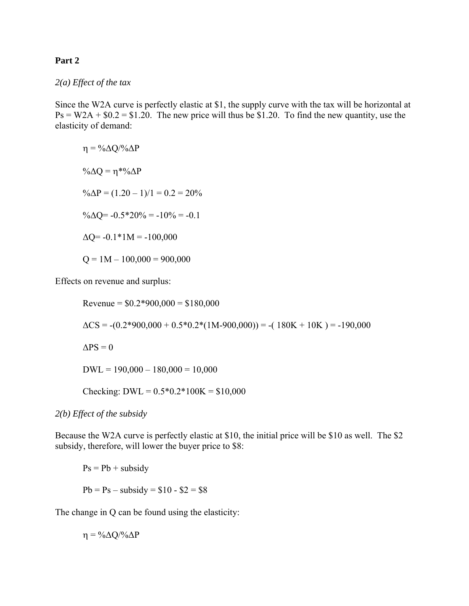## **Part 2**

### *2(a) Effect of the tax*

Since the W2A curve is perfectly elastic at \$1, the supply curve with the tax will be horizontal at  $Ps = W2A + $0.2 = $1.20$ . The new price will thus be \$1.20. To find the new quantity, use the elasticity of demand:

$$
\eta = \frac{9}{4}Q/9 \Delta P
$$
  
\n
$$
\% \Delta Q = \eta * \frac{9}{4}Q
$$
  
\n
$$
\% \Delta P = (1.20 - 1)/1 = 0.2 = 20\%
$$
  
\n
$$
\% \Delta Q = -0.5 * 20\% = -10\% = -0.1
$$
  
\n
$$
\Delta Q = -0.1 * 1 M = -100,000
$$
  
\n
$$
Q = 1 M - 100,000 = 900,000
$$

Effects on revenue and surplus:

Revenue =  $$0.2*900,000 = $180,000$  $\Delta CS = -(0.2*900,000 + 0.5*0.2*(1M-900,000)) = -(180K + 10K) = -190,000$  $\Delta PS = 0$  $DWL = 190,000 - 180,000 = 10,000$ Checking: DWL =  $0.5*0.2*100K = $10,000$ 

*2(b) Effect of the subsidy* 

Because the W2A curve is perfectly elastic at \$10, the initial price will be \$10 as well. The \$2 subsidy, therefore, will lower the buyer price to \$8:

 $Ps = Pb +$  subsidy  $Pb = Ps - subsidy = $10 - $2 = $8$ 

The change in Q can be found using the elasticity:

 $\eta = \frac{0}{\Delta Q} \frac{Q}{Q \Delta P}$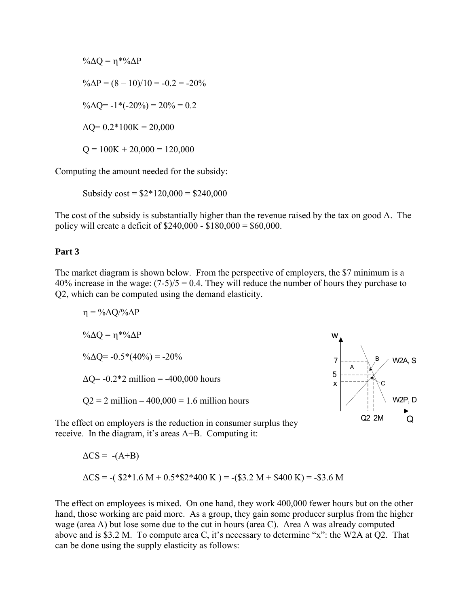$$
\% \Delta Q = \eta * \% \Delta P
$$
  
\n
$$
\% \Delta P = (8 - 10)/10 = -0.2 = -20\%
$$
  
\n
$$
\% \Delta Q = -1 * (-20\%) = 20\% = 0.2
$$
  
\n
$$
\Delta Q = 0.2 * 100 \text{K} = 20,000
$$
  
\n
$$
Q = 100 \text{K} + 20,000 = 120,000
$$

Computing the amount needed for the subsidy:

Subsidy  $\text{cost} = $2*120,000 = $240,000$ 

The cost of the subsidy is substantially higher than the revenue raised by the tax on good A. The policy will create a deficit of \$240,000 - \$180,000 = \$60,000.

# **Part 3**

The market diagram is shown below. From the perspective of employers, the \$7 minimum is a 40% increase in the wage:  $(7-5)/5 = 0.4$ . They will reduce the number of hours they purchase to Q2, which can be computed using the demand elasticity.

$$
\eta = \frac{9}{6} \Delta Q / \frac{9}{6} \Delta P
$$
  
\n
$$
\frac{9}{6} \Delta Q = \eta * \frac{9}{6} \Delta P
$$
  
\n
$$
\frac{9}{6} \Delta Q = -0.5 * (40\%) = -20\%
$$
  
\n
$$
\Delta Q = -0.2 * 2 \text{ million} = -400,000 \text{ hours}
$$
  
\n
$$
Q2 = 2 \text{ million} - 400,000 = 1.6 \text{ million hours}
$$



The effect on employers is the reduction in consumer surplus they receive. In the diagram, it's areas A+B. Computing it:

$$
\Delta CS = -(A+B)
$$
  
\n
$$
\Delta CS = -(\$2*1.6 \text{ M} + 0.5*\$2*400 \text{ K}) = -(\$3.2 \text{ M} + \$400 \text{ K}) = -\$3.6 \text{ M}
$$

The effect on employees is mixed. On one hand, they work 400,000 fewer hours but on the other hand, those working are paid more. As a group, they gain some producer surplus from the higher wage (area A) but lose some due to the cut in hours (area C). Area A was already computed above and is \$3.2 M. To compute area C, it's necessary to determine "x": the W2A at Q2. That can be done using the supply elasticity as follows: